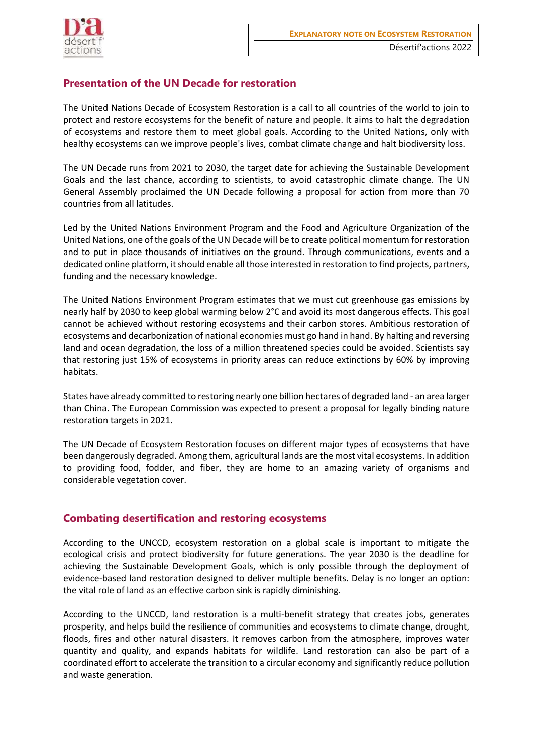

## **Presentation of the UN Decade for restoration**

The United Nations Decade of Ecosystem Restoration is a call to all countries of the world to join to protect and restore ecosystems for the benefit of nature and people. It aims to halt the degradation of ecosystems and restore them to meet global goals. According to the United Nations, only with healthy ecosystems can we improve people's lives, combat climate change and halt biodiversity loss.

The UN Decade runs from 2021 to 2030, the target date for achieving the Sustainable Development Goals and the last chance, according to scientists, to avoid catastrophic climate change. The UN General Assembly proclaimed the UN Decade following a proposal for action from more than 70 countries from all latitudes.

Led by the United Nations Environment Program and the Food and Agriculture Organization of the United Nations, one of the goals of the UN Decade will be to create political momentum for restoration and to put in place thousands of initiatives on the ground. Through communications, events and a dedicated online platform, it should enable all those interested in restoration to find projects, partners, funding and the necessary knowledge.

The United Nations Environment Program estimates that we must cut greenhouse gas emissions by nearly half by 2030 to keep global warming below 2°C and avoid its most dangerous effects. This goal cannot be achieved without restoring ecosystems and their carbon stores. Ambitious restoration of ecosystems and decarbonization of national economies must go hand in hand. By halting and reversing land and ocean degradation, the loss of a million threatened species could be avoided. Scientists say that restoring just 15% of ecosystems in priority areas can reduce extinctions by 60% by improving habitats.

States have already committed to restoring nearly one billion hectares of degraded land - an area larger than China. The European Commission was expected to present a proposal for legally binding nature restoration targets in 2021.

The UN Decade of Ecosystem Restoration focuses on different major types of ecosystems that have been dangerously degraded. Among them, agricultural lands are the most vital ecosystems. In addition to providing food, fodder, and fiber, they are home to an amazing variety of organisms and considerable vegetation cover.

## **Combating desertification and restoring ecosystems**

According to the UNCCD, ecosystem restoration on a global scale is important to mitigate the ecological crisis and protect biodiversity for future generations. The year 2030 is the deadline for achieving the Sustainable Development Goals, which is only possible through the deployment of evidence-based land restoration designed to deliver multiple benefits. Delay is no longer an option: the vital role of land as an effective carbon sink is rapidly diminishing.

According to the UNCCD, land restoration is a multi-benefit strategy that creates jobs, generates prosperity, and helps build the resilience of communities and ecosystems to climate change, drought, floods, fires and other natural disasters. It removes carbon from the atmosphere, improves water quantity and quality, and expands habitats for wildlife. Land restoration can also be part of a coordinated effort to accelerate the transition to a circular economy and significantly reduce pollution and waste generation.